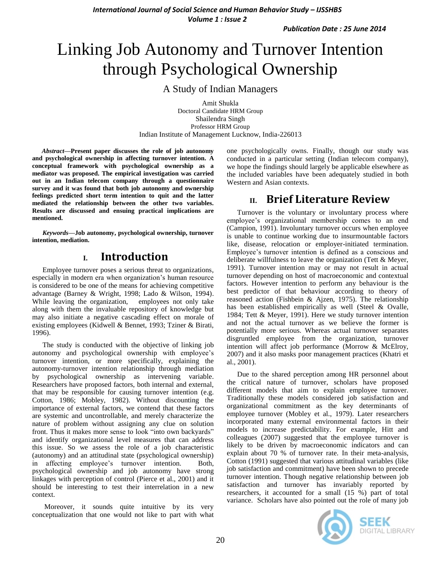# Linking Job Autonomy and Turnover Intention through Psychological Ownership

A Study of Indian Managers

Amit Shukla Doctoral Candidate HRM Group Shailendra Singh Professor HRM Group Indian Institute of Management Lucknow, India-226013

*Abstract***—Present paper discusses the role of job autonomy and psychological ownership in affecting turnover intention. A conceptual framework with psychological ownership as a mediator was proposed. The empirical investigation was carried out in an Indian telecom company through a questionnaire survey and it was found that both job autonomy and ownership feelings predicted short term intention to quit and the latter mediated the relationship between the other two variables. Results are discussed and ensuing practical implications are mentioned.**

*Keywords—***Job autonomy, psychological ownership, turnover intention, mediation.**

## **I. Introduction**

Employee turnover poses a serious threat to organizations, especially in modern era when organization"s human resource is considered to be one of the means for achieving competitive advantage (Barney & Wright, 1998; Lado & Wilson, 1994). While leaving the organization, employees not only take along with them the invaluable repository of knowledge but may also initiate a negative cascading effect on morale of existing employees (Kidwell & Bennet, 1993; Tziner & Birati, 1996).

The study is conducted with the objective of linking job autonomy and psychological ownership with employee"s turnover intention, or more specifically, explaining the autonomy-turnover intention relationship through mediation by psychological ownership as intervening variable. Researchers have proposed factors, both internal and external, that may be responsible for causing turnover intention (e.g. Cotton, 1986; Mobley, 1982). Without discounting the importance of external factors, we contend that these factors are systemic and uncontrollable, and merely characterize the nature of problem without assigning any clue on solution front. Thus it makes more sense to look "into own backyards" and identify organizational level measures that can address this issue. So we assess the role of a job characteristic (autonomy) and an attitudinal state (psychological ownership) in affecting employee"s turnover intention. Both, psychological ownership and job autonomy have strong linkages with perception of control (Pierce et al., 2001) and it should be interesting to test their interrelation in a new context.

Moreover, it sounds quite intuitive by its very conceptualization that one would not like to part with what one psychologically owns. Finally, though our study was conducted in a particular setting (Indian telecom company), we hope the findings should largely be applicable elsewhere as the included variables have been adequately studied in both Western and Asian contexts.

## **II. Brief Literature Review**

Turnover is the voluntary or involuntary process where employee"s organizational membership comes to an end (Campion, 1991). Involuntary turnover occurs when employee is unable to continue working due to insurmountable factors like, disease, relocation or employer-initiated termination. Employee"s turnover intention is defined as a conscious and deliberate willfulness to leave the organization (Tett & Meyer, 1991). Turnover intention may or may not result in actual turnover depending on host of macroeconomic and contextual factors. However intention to perform any behaviour is the best predictor of that behaviour according to theory of reasoned action (Fishbein & Ajzen, 1975). The relationship has been established empirically as well (Steel & Ovalle, 1984; Tett & Meyer, 1991). Here we study turnover intention and not the actual turnover as we believe the former is potentially more serious. Whereas actual turnover separates disgruntled employee from the organization, turnover intention will affect job performance (Morrow & McElroy, 2007) and it also masks poor management practices (Khatri et al., 2001).

Due to the shared perception among HR personnel about the critical nature of turnover, scholars have proposed different models that aim to explain employee turnover. Traditionally these models considered job satisfaction and organizational commitment as the key determinants of employee turnover (Mobley et al., 1979). Later researchers incorporated many external environmental factors in their models to increase predictability. For example, Hitt and colleagues (2007) suggested that the employee turnover is likely to be driven by macroeconomic indicators and can explain about 70 % of turnover rate. In their meta-analysis, Cotton (1991) suggested that various attitudinal variables (like job satisfaction and commitment) have been shown to precede turnover intention. Though negative relationship between job satisfaction and turnover has invariably reported by researchers, it accounted for a small (15 %) part of total variance. Scholars have also pointed out the role of many job

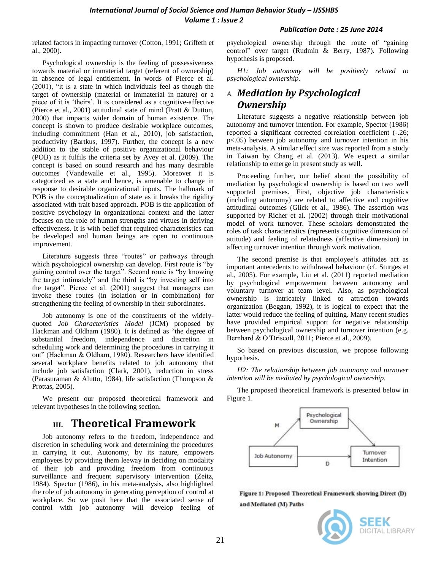related factors in impacting turnover (Cotton, 1991; Griffeth et al., 2000).

Psychological ownership is the feeling of possessiveness towards material or immaterial target (referent of ownership) in absence of legal entitlement. In words of Pierce et al. (2001), "it is a state in which individuals feel as though the target of ownership (material or immaterial in nature) or a piece of it is "theirs". It is considered as a cognitive-affective (Pierce et al., 2001) attitudinal state of mind (Pratt & Dutton, 2000) that impacts wider domain of human existence. The concept is shown to produce desirable workplace outcomes, including commitment (Han et al., 2010), job satisfaction, productivity (Bartkus, 1997). Further, the concept is a new addition to the stable of positive organizational behaviour (POB) as it fulfils the criteria set by Avey et al. (2009). The concept is based on sound research and has many desirable outcomes (Vandewalle et al., 1995). Moreover it is categorized as a state and hence, is amenable to change in response to desirable organizational inputs. The hallmark of POB is the conceptualization of state as it breaks the rigidity associated with trait based approach. POB is the application of positive psychology in organizational context and the latter focuses on the role of human strengths and virtues in deriving effectiveness. It is with belief that required characteristics can be developed and human beings are open to continuous improvement.

Literature suggests three "routes" or pathways through which psychological ownership can develop. First route is "by gaining control over the target". Second route is "by knowing the target intimately" and the third is "by investing self into the target". Pierce et al. (2001) suggest that managers can invoke these routes (in isolation or in combination) for strengthening the feeling of ownership in their subordinates.

Job autonomy is one of the constituents of the widelyquoted *Job Characteristics Model* (JCM) proposed by Hackman and Oldham (1980). It is defined as "the degree of substantial freedom, independence and discretion in scheduling work and determining the procedures in carrying it out" (Hackman & Oldham, 1980). Researchers have identified several workplace benefits related to job autonomy that include job satisfaction (Clark, 2001), reduction in stress (Parasuraman & Alutto, 1984), life satisfaction (Thompson & Prottas, 2005).

We present our proposed theoretical framework and relevant hypotheses in the following section.

# **III. Theoretical Framework**

Job autonomy refers to the freedom, independence and discretion in scheduling work and determining the procedures in carrying it out. Autonomy, by its nature, empowers employees by providing them leeway in deciding on modality of their job and providing freedom from continuous surveillance and frequent supervisory intervention (Zeitz, 1984). Spector (1986), in his meta-analysis, also highlighted the role of job autonomy in generating perception of control at workplace. So we posit here that the associated sense of control with job autonomy will develop feeling of psychological ownership through the route of "gaining control" over target (Rudmin & Berry, 1987). Following hypothesis is proposed.

*H1: Job autonomy will be positively related to psychological ownership.* 

## *A. Mediation by Psychological Ownership*

Literature suggests a negative relationship between job autonomy and turnover intention. For example, Spector (1986) reported a significant corrected correlation coefficient (-.26; p<.05) between job autonomy and turnover intention in his meta-analysis. A similar effect size was reported from a study in Taiwan by Chang et al. (2013). We expect a similar relationship to emerge in present study as well.

Proceeding further, our belief about the possibility of mediation by psychological ownership is based on two well supported premises. First, objective job characteristics (including autonomy) are related to affective and cognitive attitudinal outcomes (Glick et al., 1986). The assertion was supported by Richer et al. (2002) through their motivational model of work turnover. These scholars demonstrated the roles of task characteristics (represents cognitive dimension of attitude) and feeling of relatedness (affective dimension) in affecting turnover intention through work motivation.

The second premise is that employee's attitudes act as important antecedents to withdrawal behaviour (cf. Sturges et al., 2005). For example, Liu et al. (2011) reported mediation by psychological empowerment between autonomy and voluntary turnover at team level. Also, as psychological ownership is intricately linked to attraction towards organization (Beggan, 1992), it is logical to expect that the latter would reduce the feeling of quitting. Many recent studies have provided empirical support for negative relationship between psychological ownership and turnover intention (e.g. Bernhard & O"Driscoll, 2011; Pierce et al., 2009).

So based on previous discussion, we propose following hypothesis.

*H2: The relationship between job autonomy and turnover intention will be mediated by psychological ownership.* 

The proposed theoretical framework is presented below in Figure 1.



Figure 1: Proposed Theoretical Framework showing Direct (D) and Mediated (M) Paths

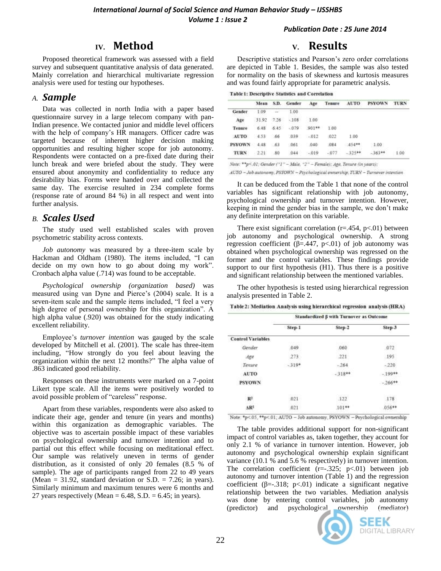## **IV. Method**

Proposed theoretical framework was assessed with a field survey and subsequent quantitative analysis of data generated. Mainly correlation and hierarchical multivariate regression analysis were used for testing our hypotheses.

#### *A. Sample*

Data was collected in north India with a paper based questionnaire survey in a large telecom company with pan-Indian presence. We contacted junior and middle level officers with the help of company's HR managers. Officer cadre was targeted because of inherent higher decision making opportunities and resulting higher scope for job autonomy. Respondents were contacted on a pre-fixed date during their lunch break and were briefed about the study. They were ensured about anonymity and confidentiality to reduce any desirability bias. Forms were handed over and collected the same day. The exercise resulted in 234 complete forms (response rate of around 84 %) in all respect and went into further analysis.

#### *B. Scales Used*

The study used well established scales with proven psychometric stability across contexts.

*Job autonomy* was measured by a three-item scale by Hackman and Oldham (1980). The items included, "I can decide on my own how to go about doing my work". Cronbach alpha value (.714) was found to be acceptable.

*Psychological ownership (organization based)* was measured using van Dyne and Pierce"s (2004) scale. It is a seven-item scale and the sample items included, "I feel a very high degree of personal ownership for this organization". A high alpha value (.920) was obtained for the study indicating excellent reliability.

Employee"s *turnover intention* was gauged by the scale developed by Mitchell et al. (2001). The scale has three-item including, "How strongly do you feel about leaving the organization within the next 12 months?" The alpha value of .863 indicated good reliability.

Responses on these instruments were marked on a 7-point Likert type scale. All the items were positively worded to avoid possible problem of "careless" response.

Apart from these variables, respondents were also asked to indicate their age, gender and tenure (in years and months) within this organization as demographic variables. The objective was to ascertain possible impact of these variables on psychological ownership and turnover intention and to partial out this effect while focusing on meditational effect. Our sample was relatively uneven in terms of gender distribution, as it consisted of only 20 females (8.5 % of sample). The age of participants ranged from 22 to 49 years (Mean = 31.92, standard deviation or S.D. = 7.26; in years). Similarly minimum and maximum tenures were 6 months and 27 years respectively (Mean =  $6.48$ , S.D. =  $6.45$ ; in years).

## **V. Results**

Descriptive statistics and Pearson"s zero order correlations are depicted in Table 1. Besides, the sample was also tested for normality on the basis of skewness and kurtosis measures and was found fairly appropriate for parametric analysis.

#### **Table 1: Descriptive Statistics and Correlation**

|               | Mean    | S.D.           | Gender |         |        | Age Tenure AUTO | PSYOWN TURN |      |
|---------------|---------|----------------|--------|---------|--------|-----------------|-------------|------|
| Gender        | 00.1    | $\Delta\omega$ | 1.00   |         |        |                 |             |      |
| Age           | 31.92   | $-7.26$        | $-108$ | $-1.00$ |        |                 |             |      |
| Tenure        |         | $6.48$ $6.45$  | $-079$ | $901**$ | 1.00   |                 |             |      |
| <b>AUTO</b>   | 4.53 66 |                | 039    | $-012$  | .022   | 1.00            |             |      |
| <b>PSYOWN</b> | 4.48    | .63            | .061   | 040     | :084   | $-454**$        | 1.00        |      |
| <b>TURN</b>   | 2.21    | 80             | 044    | $-019$  | $-077$ | $-325$ **       | $-363**$    | 1:00 |

Note: \*\* p<.01; Gender ("1" - Male, "2" - Female); Age, Tenure (in years);

AUTO - Job autonomy, PSYOWN - Psychological ownership, TURN - Turnover intention

It can be deduced from the Table 1 that none of the control variables has significant relationship with job autonomy, psychological ownership and turnover intention. However, keeping in mind the gender bias in the sample, we don"t make any definite interpretation on this variable.

There exist significant correlation  $(r=.454, p<.01)$  between job autonomy and psychological ownership. A strong regression coefficient (β=.447, p<.01) of job autonomy was obtained when psychological ownership was regressed on the former and the control variables. These findings provide support to our first hypothesis (H1). Thus there is a positive and significant relationship between the mentioned variables.

The other hypothesis is tested using hierarchical regression analysis presented in Table 2.

Table 2: Mediation Analysis using hierarchical regression analysis (HRA)

|                                   | Standardized ß with Turnover as Outcome |                         |          |  |  |
|-----------------------------------|-----------------------------------------|-------------------------|----------|--|--|
|                                   | Step-1                                  | Step-2                  | Step-3   |  |  |
| <b>Control Variables</b>          |                                         |                         |          |  |  |
| Gender                            | 049                                     | .060                    | 072      |  |  |
| Age                               | .273.                                   | $-221$                  | .195     |  |  |
| Tenure                            | $-319*$                                 | $-264$                  | $-220$   |  |  |
| AUTO                              |                                         | $-318**$                | $-199**$ |  |  |
| <b>PSYOWN</b>                     |                                         |                         | $-266**$ |  |  |
| R <sup>2</sup>                    | MANESA<br>.021                          | <b>Material</b><br>.122 | 178      |  |  |
| $\Delta$ <sub>R<sup>2</sup></sub> | 021                                     | $.101**$                | 056**    |  |  |

Note: \*p<.05, \*\*p<.01; AUTO - Job autonomy, PSYOWN - Psychological ownership

The table provides additional support for non-significant impact of control variables as, taken together, they account for only 2.1 % of variance in turnover intention. However, job autonomy and psychological ownership explain significant variance (10.1 % and 5.6 % respectively) in turnover intention. The correlation coefficient  $(r=.325; p<.01)$  between job autonomy and turnover intention (Table 1) and the regression coefficient ( $\beta = -0.318$ ; p<.01) indicate a significant negative relationship between the two variables. Mediation analysis was done by entering control variables, job autonomy (predictor) and psychological ownership (mediator)



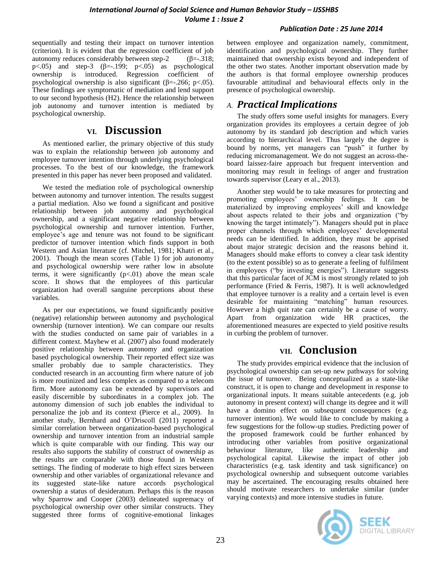sequentially and testing their impact on turnover intention (criterion). It is evident that the regression coefficient of job autonomy reduces considerably between step-2 (β=-.318; p $<05$ ) and step-3 ( $\beta$ =-.199; p $<05$ ) as psychological ownership is introduced. Regression coefficient of psychological ownership is also significant ( $\beta$ =-.266; p<.05). These findings are symptomatic of mediation and lend support to our second hypothesis (H2). Hence the relationship between job autonomy and turnover intention is mediated by psychological ownership.

## **VI. Discussion**

As mentioned earlier, the primary objective of this study was to explain the relationship between job autonomy and employee turnover intention through underlying psychological processes. To the best of our knowledge, the framework presented in this paper has never been proposed and validated.

We tested the mediation role of psychological ownership between autonomy and turnover intention. The results suggest a partial mediation. Also we found a significant and positive relationship between job autonomy and psychological ownership, and a significant negative relationship between psychological ownership and turnover intention. Further, employee"s age and tenure was not found to be significant predictor of turnover intention which finds support in both Western and Asian literature (cf. Mitchel, 1981; Khatri et al., 2001). Though the mean scores (Table 1) for job autonomy and psychological ownership were rather low in absolute terms, it were significantly  $(p<.01)$  above the mean scale score. It shows that the employees of this particular organization had overall sanguine perceptions about these variables.

As per our expectations, we found significantly positive (negative) relationship between autonomy and psychological ownership (turnover intention). We can compare our results with the studies conducted on same pair of variables in a different context. Mayhew et al. (2007) also found moderately positive relationship between autonomy and organization based psychological ownership. Their reported effect size was smaller probably due to sample characteristics. They conducted research in an accounting firm where nature of job is more routinized and less complex as compared to a telecom firm. More autonomy can be extended by supervisors and easily discernible by subordinates in a complex job. The autonomy dimension of such job enables the individual to personalize the job and its context (Pierce et al., 2009). In another study, Bernhard and O"Driscoll (2011) reported a similar correlation between organization-based psychological ownership and turnover intention from an industrial sample which is quite comparable with our finding. This way our results also supports the stability of construct of ownership as the results are comparable with those found in Western settings. The finding of moderate to high effect sizes between ownership and other variables of organizational relevance and its suggested state-like nature accords psychological ownership a status of desideratum. Perhaps this is the reason why Sparrow and Cooper (2003) delineated supremacy of psychological ownership over other similar constructs. They suggested three forms of cognitive-emotional linkages

between employee and organization namely, commitment, identification and psychological ownership. They further maintained that ownership exists beyond and independent of the other two states. Another important observation made by the authors is that formal employee ownership produces favourable attitudinal and behavioural effects only in the presence of psychological ownership.

## *A. Practical Implications*

The study offers some useful insights for managers. Every organization provides its employees a certain degree of job autonomy by its standard job description and which varies according to hierarchical level. Thus largely the degree is bound by norms, yet managers can "push" it further by reducing micromanagement. We do not suggest an across-theboard laissez-faire approach but frequent intervention and monitoring may result in feelings of anger and frustration towards supervisor (Leary et al., 2013).

Another step would be to take measures for protecting and promoting employees" ownership feelings. It can be materialized by improving employees' skill and knowledge about aspects related to their jobs and organization ("by knowing the target intimately"). Managers should put in place proper channels through which employees' developmental needs can be identified. In addition, they must be apprised about major strategic decision and the reasons behind it. Managers should make efforts to convey a clear task identity (to the extent possible) so as to generate a feeling of fulfilment in employees ("by investing energies"). Literature suggests that this particular facet of JCM is most strongly related to job performance (Fried & Ferris, 1987). It is well acknowledged that employee turnover is a reality and a certain level is even desirable for maintaining "matching" human resources. However a high quit rate can certainly be a cause of worry. Apart from organization wide HR practices, the aforementioned measures are expected to yield positive results in curbing the problem of turnover.

# **VII. Conclusion**

The study provides empirical evidence that the inclusion of psychological ownership can set-up new pathways for solving the issue of turnover. Being conceptualized as a state-like construct, it is open to change and development in response to organizational inputs. It means suitable antecedents (e.g. job autonomy in present context) will change its degree and it will have a domino effect on subsequent consequences (e.g. turnover intention). We would like to conclude by making a few suggestions for the follow-up studies. Predicting power of the proposed framework could be further enhanced by introducing other variables from positive organizational behaviour literature, like authentic leadership and psychological capital. Likewise the impact of other job characteristics (e.g. task identity and task significance) on psychological ownership and subsequent outcome variables may be ascertained. The encouraging results obtained here should motivate researchers to undertake similar (under varying contexts) and more intensive studies in future.